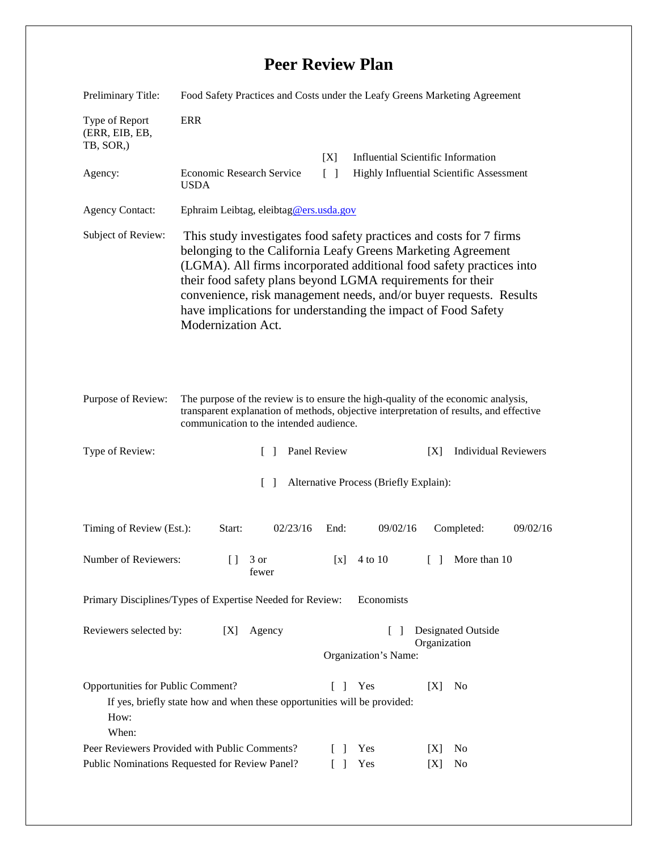## **Peer Review Plan**

| Preliminary Title:                                                                                                                                                                                                                           | Food Safety Practices and Costs under the Leafy Greens Marketing Agreement                                                                                                                                                                                                                                                                                                                                                             |                                                        |                                                                                       |
|----------------------------------------------------------------------------------------------------------------------------------------------------------------------------------------------------------------------------------------------|----------------------------------------------------------------------------------------------------------------------------------------------------------------------------------------------------------------------------------------------------------------------------------------------------------------------------------------------------------------------------------------------------------------------------------------|--------------------------------------------------------|---------------------------------------------------------------------------------------|
| Type of Report<br>(ERR, EIB, EB,<br>TB, SOR,)                                                                                                                                                                                                | <b>ERR</b>                                                                                                                                                                                                                                                                                                                                                                                                                             |                                                        |                                                                                       |
| Agency:                                                                                                                                                                                                                                      | Economic Research Service<br><b>USDA</b>                                                                                                                                                                                                                                                                                                                                                                                               | [X]<br>$\lceil \rceil$                                 | <b>Influential Scientific Information</b><br>Highly Influential Scientific Assessment |
| <b>Agency Contact:</b>                                                                                                                                                                                                                       | Ephraim Leibtag, eleibtag@ers.usda.gov                                                                                                                                                                                                                                                                                                                                                                                                 |                                                        |                                                                                       |
| Subject of Review:                                                                                                                                                                                                                           | This study investigates food safety practices and costs for 7 firms<br>belonging to the California Leafy Greens Marketing Agreement<br>(LGMA). All firms incorporated additional food safety practices into<br>their food safety plans beyond LGMA requirements for their<br>convenience, risk management needs, and/or buyer requests. Results<br>have implications for understanding the impact of Food Safety<br>Modernization Act. |                                                        |                                                                                       |
| Purpose of Review:<br>The purpose of the review is to ensure the high-quality of the economic analysis,<br>transparent explanation of methods, objective interpretation of results, and effective<br>communication to the intended audience. |                                                                                                                                                                                                                                                                                                                                                                                                                                        |                                                        |                                                                                       |
| Type of Review:                                                                                                                                                                                                                              | $\Box$                                                                                                                                                                                                                                                                                                                                                                                                                                 | Panel Review                                           | <b>Individual Reviewers</b><br>[X]                                                    |
| Alternative Process (Briefly Explain):<br>$\lceil \rceil$                                                                                                                                                                                    |                                                                                                                                                                                                                                                                                                                                                                                                                                        |                                                        |                                                                                       |
| Timing of Review (Est.):                                                                                                                                                                                                                     | Start:<br>02/23/16                                                                                                                                                                                                                                                                                                                                                                                                                     | 09/02/16<br>End:                                       | Completed:<br>09/02/16                                                                |
| Number of Reviewers:                                                                                                                                                                                                                         | 3 or<br>$\Box$<br>fewer                                                                                                                                                                                                                                                                                                                                                                                                                | 4 to 10<br>[x]                                         | More than 10<br>$\begin{bmatrix} 1 \end{bmatrix}$                                     |
| Primary Disciplines/Types of Expertise Needed for Review:<br>Economists                                                                                                                                                                      |                                                                                                                                                                                                                                                                                                                                                                                                                                        |                                                        |                                                                                       |
| Reviewers selected by:                                                                                                                                                                                                                       | [X]<br>Agency                                                                                                                                                                                                                                                                                                                                                                                                                          | $\mathbf{L}$<br>$\blacksquare$<br>Organization's Name: | <b>Designated Outside</b><br>Organization                                             |
| Opportunities for Public Comment?<br>Yes<br>[X]<br>N <sub>0</sub><br>L<br>$\overline{\phantom{a}}$<br>If yes, briefly state how and when these opportunities will be provided:<br>How:<br>When:                                              |                                                                                                                                                                                                                                                                                                                                                                                                                                        |                                                        |                                                                                       |
| Peer Reviewers Provided with Public Comments?<br>Public Nominations Requested for Review Panel?                                                                                                                                              |                                                                                                                                                                                                                                                                                                                                                                                                                                        | Yes<br>$\Box$<br>Yes                                   | N <sub>0</sub><br>[X]<br>No<br>[X]                                                    |